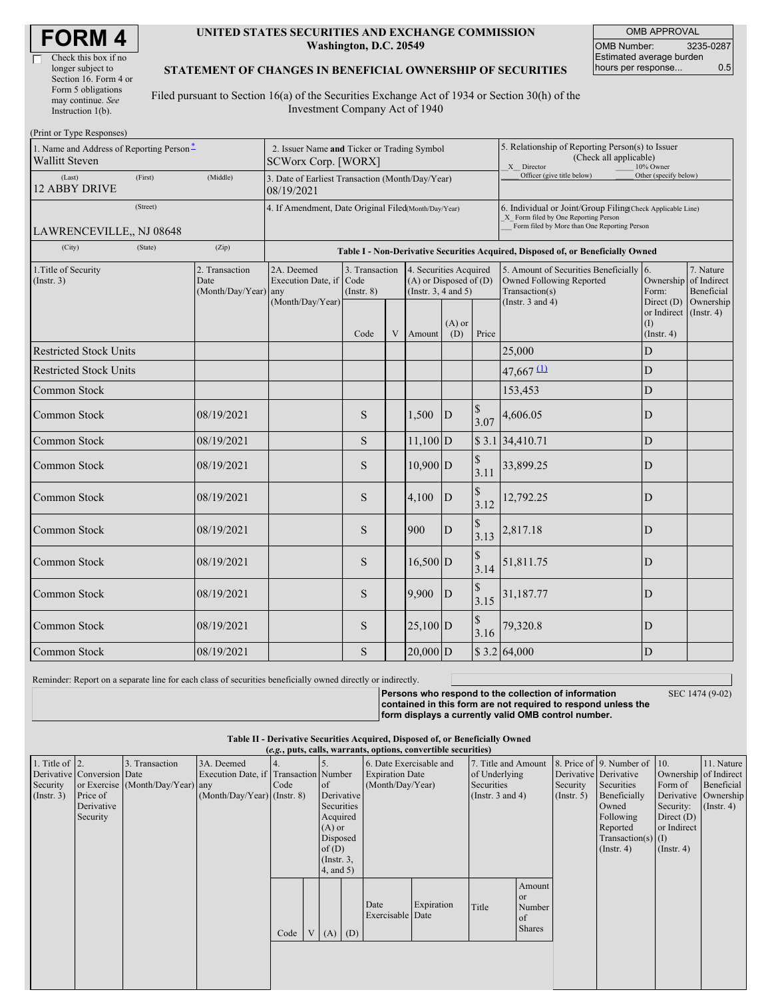| <b>FORM 4</b> |
|---------------|
|---------------|

 $\Box$ 

| Check this box if no  |
|-----------------------|
| longer subject to     |
| Section 16. Form 4 or |
| Form 5 obligations    |
| may continue. See     |
| Instruction $1(b)$ .  |
|                       |

#### **UNITED STATES SECURITIES AND EXCHANGE COMMISSION Washington, D.C. 20549**

OMB APPROVAL OMB Number: 3235-0287 Estimated average burden hours per response... 0.5

### **STATEMENT OF CHANGES IN BENEFICIAL OWNERSHIP OF SECURITIES**

Filed pursuant to Section 16(a) of the Securities Exchange Act of 1934 or Section 30(h) of the Investment Company Act of 1940

| 1. Name and Address of Reporting Person*<br><b>Wallitt Steven</b> | 2. Issuer Name and Ticker or Trading Symbol<br>SCWorx Corp. [WORX] |                                                                |                                   |   |                                                                              |                 | 5. Relationship of Reporting Person(s) to Issuer<br>(Check all applicable)<br>X Director<br>10% Owner |                                                                                                                                                    |                                                                                                                                                                                                                                                                                                                                                 |  |  |  |  |  |  |
|-------------------------------------------------------------------|--------------------------------------------------------------------|----------------------------------------------------------------|-----------------------------------|---|------------------------------------------------------------------------------|-----------------|-------------------------------------------------------------------------------------------------------|----------------------------------------------------------------------------------------------------------------------------------------------------|-------------------------------------------------------------------------------------------------------------------------------------------------------------------------------------------------------------------------------------------------------------------------------------------------------------------------------------------------|--|--|--|--|--|--|
| (Last)<br>(First)<br><b>12 ABBY DRIVE</b>                         | (Middle)                                                           | 3. Date of Earliest Transaction (Month/Day/Year)<br>08/19/2021 |                                   |   |                                                                              |                 | Officer (give title below)                                                                            | Other (specify below)                                                                                                                              |                                                                                                                                                                                                                                                                                                                                                 |  |  |  |  |  |  |
| (Street)<br>LAWRENCEVILLE., NJ 08648                              |                                                                    | 4. If Amendment, Date Original Filed(Month/Day/Year)           |                                   |   |                                                                              |                 |                                                                                                       | 6. Individual or Joint/Group Filing(Check Applicable Line)<br>X Form filed by One Reporting Person<br>Form filed by More than One Reporting Person |                                                                                                                                                                                                                                                                                                                                                 |  |  |  |  |  |  |
| (State)<br>(City)                                                 | (Zip)                                                              |                                                                |                                   |   |                                                                              |                 |                                                                                                       |                                                                                                                                                    | Table I - Non-Derivative Securities Acquired, Disposed of, or Beneficially Owned<br>5. Amount of Securities Beneficially 6.<br>7. Nature<br>Ownership of Indirect<br>Beneficial<br>Form:<br>Ownership<br>Direct $(D)$<br>or Indirect (Instr. 4)<br>(I)<br>$($ Instr. 4 $)$<br>${\bf D}$<br>$\overline{D}$<br>$\mathbf D$<br>D<br>${\bf D}$<br>D |  |  |  |  |  |  |
|                                                                   |                                                                    |                                                                |                                   |   |                                                                              |                 |                                                                                                       |                                                                                                                                                    |                                                                                                                                                                                                                                                                                                                                                 |  |  |  |  |  |  |
| 1. Title of Security<br>(Insert. 3)                               | 2. Transaction<br>Date<br>(Month/Day/Year)                         | 2A. Deemed<br>Execution Date, if Code<br>any                   | 3. Transaction<br>$($ Instr. $8)$ |   | 4. Securities Acquired<br>$(A)$ or Disposed of $(D)$<br>(Insert. 3, 4 and 5) |                 |                                                                                                       | <b>Owned Following Reported</b><br>Transaction(s)                                                                                                  |                                                                                                                                                                                                                                                                                                                                                 |  |  |  |  |  |  |
|                                                                   |                                                                    | (Month/Day/Year)                                               | Code                              | V | Amount                                                                       | $(A)$ or<br>(D) | Price                                                                                                 | (Instr. $3$ and $4$ )                                                                                                                              |                                                                                                                                                                                                                                                                                                                                                 |  |  |  |  |  |  |
| <b>Restricted Stock Units</b>                                     |                                                                    |                                                                |                                   |   |                                                                              |                 |                                                                                                       | 25,000                                                                                                                                             |                                                                                                                                                                                                                                                                                                                                                 |  |  |  |  |  |  |
| <b>Restricted Stock Units</b>                                     |                                                                    |                                                                |                                   |   |                                                                              |                 |                                                                                                       | $47,667$ $\underline{\text{1}}$                                                                                                                    |                                                                                                                                                                                                                                                                                                                                                 |  |  |  |  |  |  |
| Common Stock                                                      |                                                                    |                                                                |                                   |   |                                                                              |                 |                                                                                                       | 153,453                                                                                                                                            |                                                                                                                                                                                                                                                                                                                                                 |  |  |  |  |  |  |
| <b>Common Stock</b>                                               | 08/19/2021                                                         |                                                                | S                                 |   | 1,500                                                                        | $\overline{D}$  | \$<br>3.07                                                                                            | 4,606.05                                                                                                                                           |                                                                                                                                                                                                                                                                                                                                                 |  |  |  |  |  |  |
| <b>Common Stock</b>                                               | 08/19/2021                                                         |                                                                | S                                 |   | $11,100$ D                                                                   |                 |                                                                                                       | \$3.1 34,410.71                                                                                                                                    |                                                                                                                                                                                                                                                                                                                                                 |  |  |  |  |  |  |
| Common Stock                                                      | 08/19/2021                                                         |                                                                | S                                 |   | $10,900$ D                                                                   |                 | $\mathbb{S}$<br>3.11                                                                                  | 33,899.25                                                                                                                                          |                                                                                                                                                                                                                                                                                                                                                 |  |  |  |  |  |  |
| Common Stock                                                      | 08/19/2021                                                         |                                                                | S                                 |   | 4,100                                                                        | D               | \$<br>3.12                                                                                            | 12,792.25                                                                                                                                          | D                                                                                                                                                                                                                                                                                                                                               |  |  |  |  |  |  |
| <b>Common Stock</b>                                               | 08/19/2021                                                         |                                                                | S                                 |   | 900                                                                          | D               | $\mathbb{S}$<br>3.13                                                                                  | 2,817.18                                                                                                                                           | ${\bf D}$                                                                                                                                                                                                                                                                                                                                       |  |  |  |  |  |  |
| <b>Common Stock</b>                                               | 08/19/2021                                                         |                                                                | S                                 |   | $16,500$ D                                                                   |                 | $\mathbb S$<br>3.14                                                                                   | 51,811.75                                                                                                                                          | D                                                                                                                                                                                                                                                                                                                                               |  |  |  |  |  |  |
| Common Stock                                                      | 08/19/2021                                                         |                                                                | S                                 |   | 9.900                                                                        | $\overline{D}$  | $\mathcal{S}$<br>3.15                                                                                 | 31,187.77                                                                                                                                          | D                                                                                                                                                                                                                                                                                                                                               |  |  |  |  |  |  |
| Common Stock                                                      | 08/19/2021                                                         |                                                                | S                                 |   | $25,100$ D                                                                   |                 | $\mathbb{S}$<br>3.16                                                                                  | 79,320.8                                                                                                                                           | D                                                                                                                                                                                                                                                                                                                                               |  |  |  |  |  |  |
| Common Stock                                                      | 08/19/2021                                                         |                                                                | S                                 |   | $20,000$ D                                                                   |                 |                                                                                                       | \$3.2 64,000                                                                                                                                       | D                                                                                                                                                                                                                                                                                                                                               |  |  |  |  |  |  |

Reminder: Report on a separate line for each class of securities beneficially owned directly or indirectly.

**Persons who respond to the collection of information contained in this form are not required to respond unless the form displays a currently valid OMB control number.**

SEC 1474 (9-02)

**Table II - Derivative Securities Acquired, Disposed of, or Beneficially Owned**

|                    | (e.g., puts, calls, warrants, options, convertible securities) |                                  |                                       |      |               |                   |                         |                  |                       |                     |                         |              |                                          |                  |                  |
|--------------------|----------------------------------------------------------------|----------------------------------|---------------------------------------|------|---------------|-------------------|-------------------------|------------------|-----------------------|---------------------|-------------------------|--------------|------------------------------------------|------------------|------------------|
| 1. Title of $ 2$ . |                                                                | 3. Transaction                   | 3A. Deemed                            |      |               |                   | 6. Date Exercisable and |                  |                       | 7. Title and Amount |                         |              | 8. Price of 9. Number of 10.             |                  | 11. Nature       |
|                    | Derivative Conversion Date                                     |                                  | Execution Date, if Transaction Number |      |               |                   | <b>Expiration Date</b>  |                  | of Underlying         |                     | Derivative Derivative   |              | Ownership of Indirect                    |                  |                  |
| Security           |                                                                | or Exercise (Month/Day/Year) any |                                       | Code | <sub>of</sub> |                   | (Month/Day/Year)        |                  | <b>Securities</b>     |                     | Security                | Securities   | Form of                                  | Beneficial       |                  |
| (Insert. 3)        | Price of                                                       |                                  | $(Month/Day/Year)$ (Instr. 8)         |      |               | Derivative        |                         |                  | (Instr. $3$ and $4$ ) |                     | $($ Instr. 5 $)$        | Beneficially | Derivative Ownership                     |                  |                  |
|                    | Derivative                                                     |                                  |                                       |      |               | Securities        |                         |                  |                       |                     |                         |              | Owned                                    | Security:        | $($ Instr. 4 $)$ |
|                    | Security                                                       |                                  |                                       |      |               | Acquired          |                         |                  |                       |                     |                         |              | Following                                | Direct $(D)$     |                  |
|                    |                                                                |                                  |                                       |      |               | $(A)$ or          |                         |                  |                       |                     |                         |              | Reported                                 | or Indirect      |                  |
|                    |                                                                |                                  |                                       |      |               | Disposed<br>of(D) |                         |                  |                       |                     |                         |              | Transaction(s) $(I)$<br>$($ Instr. 4 $)$ |                  |                  |
|                    |                                                                |                                  |                                       |      |               | $($ Instr. $3,$   |                         |                  |                       |                     |                         |              |                                          | $($ Instr. 4 $)$ |                  |
|                    |                                                                |                                  |                                       |      |               | 4, and 5)         |                         |                  |                       |                     |                         |              |                                          |                  |                  |
|                    |                                                                |                                  |                                       |      |               |                   |                         |                  |                       |                     |                         |              |                                          |                  |                  |
|                    |                                                                |                                  |                                       |      |               |                   |                         |                  |                       |                     | Amount                  |              |                                          |                  |                  |
|                    |                                                                |                                  |                                       |      |               |                   | Date                    |                  | Expiration            | Title               | <sub>or</sub><br>Number |              |                                          |                  |                  |
|                    |                                                                |                                  |                                       |      |               |                   |                         | Exercisable Date |                       |                     | of                      |              |                                          |                  |                  |
|                    |                                                                |                                  |                                       |      |               |                   |                         |                  |                       |                     | Shares                  |              |                                          |                  |                  |
|                    |                                                                |                                  |                                       | Code |               | $V(A)$ (D)        |                         |                  |                       |                     |                         |              |                                          |                  |                  |
|                    |                                                                |                                  |                                       |      |               |                   |                         |                  |                       |                     |                         |              |                                          |                  |                  |
|                    |                                                                |                                  |                                       |      |               |                   |                         |                  |                       |                     |                         |              |                                          |                  |                  |
|                    |                                                                |                                  |                                       |      |               |                   |                         |                  |                       |                     |                         |              |                                          |                  |                  |
|                    |                                                                |                                  |                                       |      |               |                   |                         |                  |                       |                     |                         |              |                                          |                  |                  |